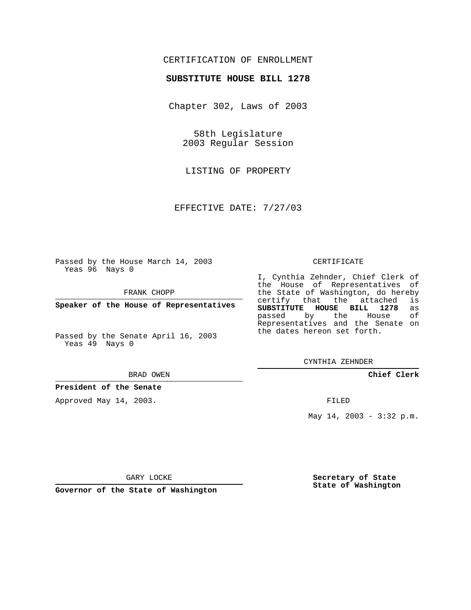## CERTIFICATION OF ENROLLMENT

## **SUBSTITUTE HOUSE BILL 1278**

Chapter 302, Laws of 2003

58th Legislature 2003 Regular Session

LISTING OF PROPERTY

EFFECTIVE DATE: 7/27/03

Passed by the House March 14, 2003 Yeas 96 Nays 0

FRANK CHOPP

**Speaker of the House of Representatives**

Passed by the Senate April 16, 2003 Yeas 49 Nays 0

#### BRAD OWEN

**President of the Senate**

Approved May 14, 2003.

### CERTIFICATE

I, Cynthia Zehnder, Chief Clerk of the House of Representatives of the State of Washington, do hereby<br>certify that the attached is certify that the attached **SUBSTITUTE HOUSE BILL 1278** as passed by the House Representatives and the Senate on the dates hereon set forth.

CYNTHIA ZEHNDER

**Chief Clerk**

FILED

May 14, 2003 - 3:32 p.m.

GARY LOCKE

**Governor of the State of Washington**

**Secretary of State State of Washington**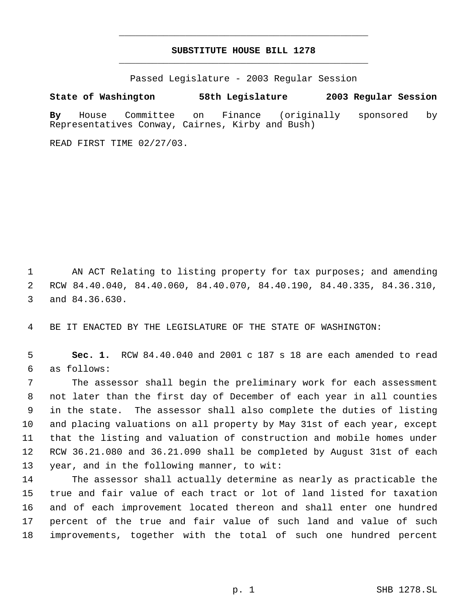# **SUBSTITUTE HOUSE BILL 1278** \_\_\_\_\_\_\_\_\_\_\_\_\_\_\_\_\_\_\_\_\_\_\_\_\_\_\_\_\_\_\_\_\_\_\_\_\_\_\_\_\_\_\_\_\_

\_\_\_\_\_\_\_\_\_\_\_\_\_\_\_\_\_\_\_\_\_\_\_\_\_\_\_\_\_\_\_\_\_\_\_\_\_\_\_\_\_\_\_\_\_

Passed Legislature - 2003 Regular Session

**State of Washington 58th Legislature 2003 Regular Session**

**By** House Committee on Finance (originally sponsored by Representatives Conway, Cairnes, Kirby and Bush)

READ FIRST TIME 02/27/03.

 AN ACT Relating to listing property for tax purposes; and amending RCW 84.40.040, 84.40.060, 84.40.070, 84.40.190, 84.40.335, 84.36.310, and 84.36.630.

BE IT ENACTED BY THE LEGISLATURE OF THE STATE OF WASHINGTON:

 **Sec. 1.** RCW 84.40.040 and 2001 c 187 s 18 are each amended to read as follows:

 The assessor shall begin the preliminary work for each assessment not later than the first day of December of each year in all counties in the state. The assessor shall also complete the duties of listing and placing valuations on all property by May 31st of each year, except that the listing and valuation of construction and mobile homes under RCW 36.21.080 and 36.21.090 shall be completed by August 31st of each year, and in the following manner, to wit:

 The assessor shall actually determine as nearly as practicable the true and fair value of each tract or lot of land listed for taxation and of each improvement located thereon and shall enter one hundred percent of the true and fair value of such land and value of such improvements, together with the total of such one hundred percent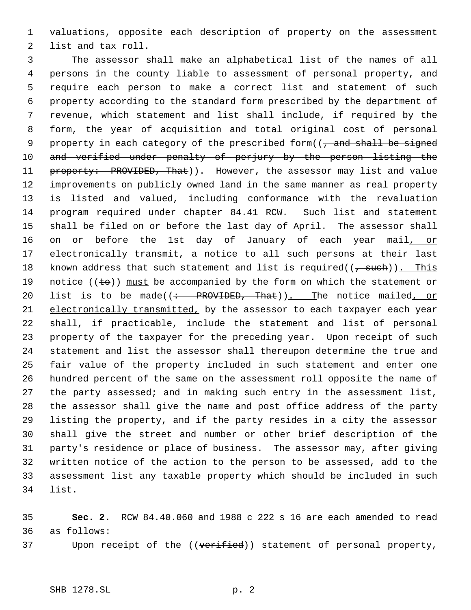valuations, opposite each description of property on the assessment list and tax roll.

 The assessor shall make an alphabetical list of the names of all persons in the county liable to assessment of personal property, and require each person to make a correct list and statement of such property according to the standard form prescribed by the department of revenue, which statement and list shall include, if required by the form, the year of acquisition and total original cost of personal 9 property in each category of the prescribed form( $\sqrt{2}$  and shall be signed 10 and verified under penalty of perjury by the person listing the 11 property: PROVIDED, That)). However, the assessor may list and value improvements on publicly owned land in the same manner as real property is listed and valued, including conformance with the revaluation program required under chapter 84.41 RCW. Such list and statement shall be filed on or before the last day of April. The assessor shall 16 on or before the 1st day of January of each year mail, or 17 electronically transmit, a notice to all such persons at their last 18 known address that such statement and list is required( $(\tau$  such)). This 19 notice ( $(\pm \theta)$ ) must be accompanied by the form on which the statement or 20 list is to be made( $\left(\div\right)$  PROVIDED, That)). The notice mailed, or 21 electronically transmitted, by the assessor to each taxpayer each year shall, if practicable, include the statement and list of personal property of the taxpayer for the preceding year. Upon receipt of such statement and list the assessor shall thereupon determine the true and fair value of the property included in such statement and enter one hundred percent of the same on the assessment roll opposite the name of the party assessed; and in making such entry in the assessment list, the assessor shall give the name and post office address of the party listing the property, and if the party resides in a city the assessor shall give the street and number or other brief description of the party's residence or place of business. The assessor may, after giving written notice of the action to the person to be assessed, add to the assessment list any taxable property which should be included in such list.

 **Sec. 2.** RCW 84.40.060 and 1988 c 222 s 16 are each amended to read as follows:

37 Upon receipt of the ((verified)) statement of personal property,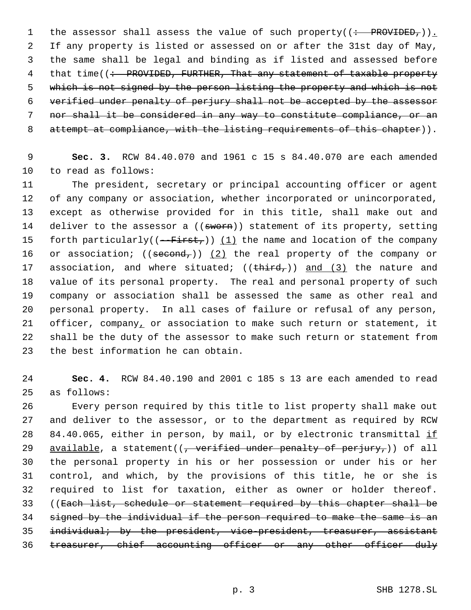1 the assessor shall assess the value of such property( $($  : PROVIDED, $)$ ). If any property is listed or assessed on or after the 31st day of May, the same shall be legal and binding as if listed and assessed before 4 that time((: PROVIDED, FURTHER, That any statement of taxable property 5 which is not signed by the person listing the property and which is not verified under penalty of perjury shall not be accepted by the assessor nor shall it be considered in any way to constitute compliance, or an 8 attempt at compliance, with the listing requirements of this chapter)).

 **Sec. 3.** RCW 84.40.070 and 1961 c 15 s 84.40.070 are each amended to read as follows:

 The president, secretary or principal accounting officer or agent of any company or association, whether incorporated or unincorporated, except as otherwise provided for in this title, shall make out and 14 deliver to the assessor a ((sworn)) statement of its property, setting 15 forth particularly( $(-$ First,))  $(1)$  the name and location of the company 16 or association;  $((\text{second},)) (2)$  the real property of the company or 17 association, and where situated;  $((\text{third}_r))$  and  $(3)$  the nature and value of its personal property. The real and personal property of such company or association shall be assessed the same as other real and personal property. In all cases of failure or refusal of any person, 21 officer, company, or association to make such return or statement, it shall be the duty of the assessor to make such return or statement from the best information he can obtain.

 **Sec. 4.** RCW 84.40.190 and 2001 c 185 s 13 are each amended to read as follows:

 Every person required by this title to list property shall make out and deliver to the assessor, or to the department as required by RCW 28 84.40.065, either in person, by mail, or by electronic transmittal  $\underline{\text{if}}$ 29 available, a statement( $\left($ , verified under penalty of perjury,)) of all the personal property in his or her possession or under his or her control, and which, by the provisions of this title, he or she is required to list for taxation, either as owner or holder thereof. ((Each list, schedule or statement required by this chapter shall be signed by the individual if the person required to make the same is an 35 individual; by the president, vice-president, treasurer, assistant 36 treasurer, chief accounting officer or any other officer duly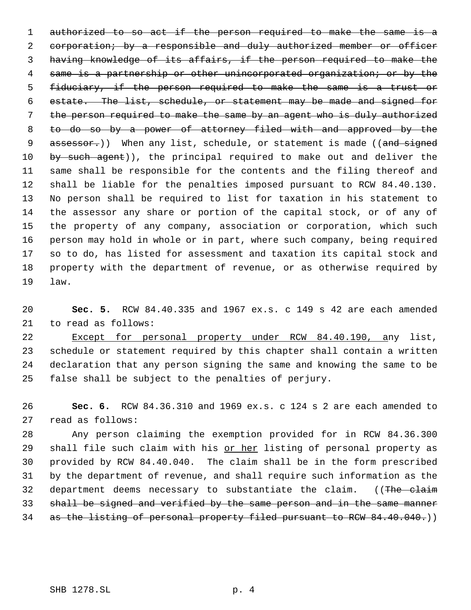1 authorized to so act if the person required to make the same is a 2 corporation; by a responsible and duly authorized member or officer having knowledge of its affairs, if the person required to make the same is a partnership or other unincorporated organization; or by the fiduciary, if the person required to make the same is a trust or estate. The list, schedule, or statement may be made and signed for the person required to make the same by an agent who is duly authorized to do so by a power of attorney filed with and approved by the 9 assessor.)) When any list, schedule, or statement is made ((and signed 10 by such agent)), the principal required to make out and deliver the same shall be responsible for the contents and the filing thereof and shall be liable for the penalties imposed pursuant to RCW 84.40.130. No person shall be required to list for taxation in his statement to the assessor any share or portion of the capital stock, or of any of the property of any company, association or corporation, which such person may hold in whole or in part, where such company, being required so to do, has listed for assessment and taxation its capital stock and property with the department of revenue, or as otherwise required by law.

 **Sec. 5.** RCW 84.40.335 and 1967 ex.s. c 149 s 42 are each amended to read as follows:

 Except for personal property under RCW 84.40.190, any list, schedule or statement required by this chapter shall contain a written declaration that any person signing the same and knowing the same to be false shall be subject to the penalties of perjury.

 **Sec. 6.** RCW 84.36.310 and 1969 ex.s. c 124 s 2 are each amended to read as follows:

 Any person claiming the exemption provided for in RCW 84.36.300 29 shall file such claim with his or her listing of personal property as provided by RCW 84.40.040. The claim shall be in the form prescribed by the department of revenue, and shall require such information as the 32 department deems necessary to substantiate the claim. ((The claim shall be signed and verified by the same person and in the same manner 34 as the listing of personal property filed pursuant to RCW 84.40.040.)